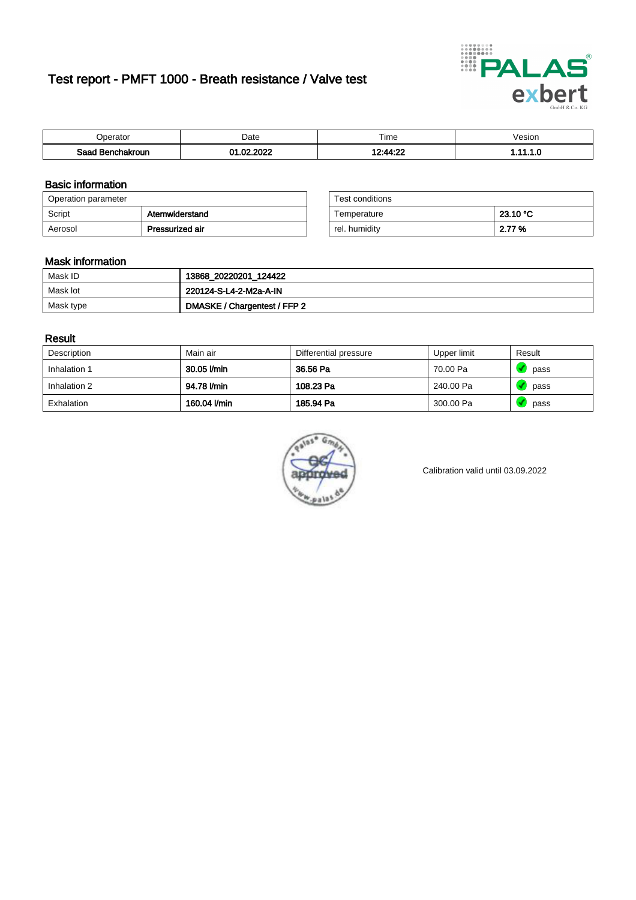# Test report - PMFT 1000 - Breath resistance / Valve test



| Jperator         | Date                       | $- \cdot$<br>Гіmе | √esion |
|------------------|----------------------------|-------------------|--------|
| Saad Benchakroun | 000<br>00.<br>$\sim$<br>wz | 19・11・99          | .      |

### Basic information

| Operation parameter |                 | Test conditions |          |
|---------------------|-----------------|-----------------|----------|
| Script              | Atemwiderstand  | Temperature     | 23.10 °C |
| Aerosol             | Pressurized air | rel. humiditv   | 2.77 %   |

| Test conditions |          |
|-----------------|----------|
| Temperature     | 23.10 °C |
| rel. humidity   | 2.77 %   |

### Mask information

| Mask ID   | 13868_20220201_124422        |
|-----------|------------------------------|
| Mask lot  | 220124-S-L4-2-M2a-A-IN       |
| Mask type | DMASKE / Chargentest / FFP 2 |

### Result

| Description  | Main air     | Differential pressure | Upper limit | Result |
|--------------|--------------|-----------------------|-------------|--------|
| Inhalation 1 | 30.05 l/min  | 36.56 Pa              | 70.00 Pa    | pass   |
| Inhalation 2 | 94.78 l/min  | 108.23 Pa             | 240.00 Pa   | pass   |
| Exhalation   | 160.04 l/min | 185.94 Pa             | 300.00 Pa   | pass   |



Calibration valid until 03.09.2022